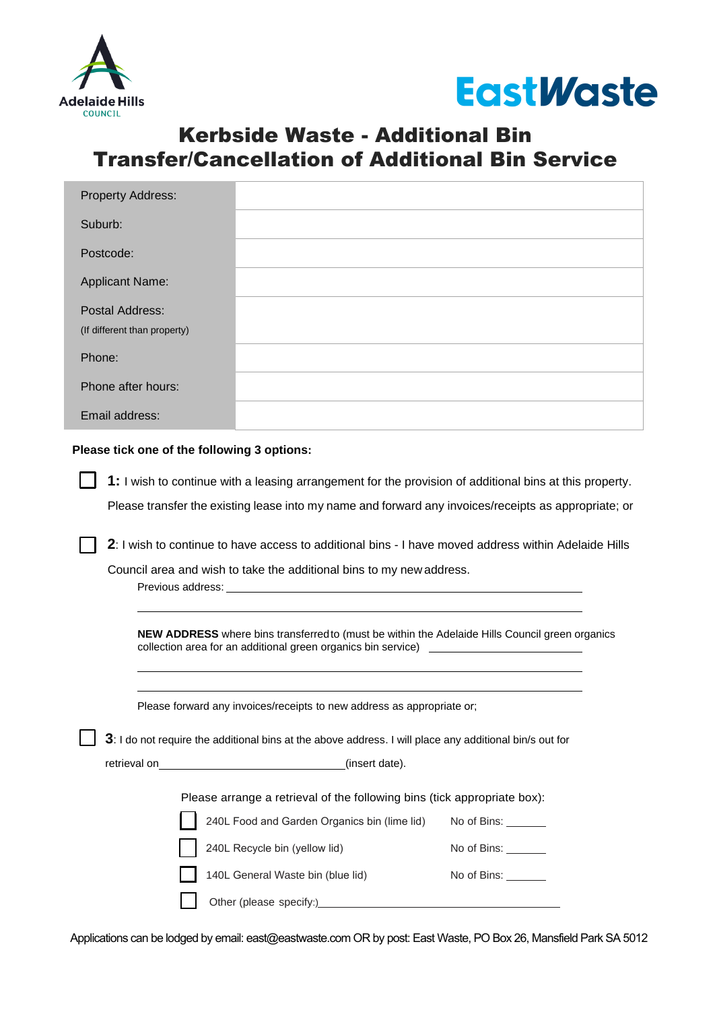



## Kerbside Waste - Additional Bin Transfer/Cancellation of Additional Bin Service

| <b>Property Address:</b>     |  |
|------------------------------|--|
| Suburb:                      |  |
| Postcode:                    |  |
| <b>Applicant Name:</b>       |  |
| Postal Address:              |  |
| (If different than property) |  |
| Phone:                       |  |
| Phone after hours:           |  |
| Email address:               |  |

## **Please tick one of the following 3 options:**

**1:** I wish to continue with a leasing arrangement for the provision of additional bins at this property. Please transfer the existing lease into my name and forward any invoices/receipts as appropriate; or

**2**: I wish to continue to have access to additional bins - I have moved address within Adelaide Hills

Council area and wish to take the additional bins to my new address.

Previous address:

**NEW ADDRESS** where bins transferred to (must be within the Adelaide Hills Council green organics collection area for an additional green organics bin service)

Please forward any invoices/receipts to new address as appropriate or;

**3**: I do not require the additional bins at the above address. I will place any additional bin/s out for

retrieval on (insert date).

Please arrange a retrieval of the following bins (tick appropriate box):

No of Bins: No of Bins: 240L Food and Garden Organics bin (lime lid) 240L Recycle bin (yellow lid)

No of Bins:

Other (please specify:)\_\_\_\_\_\_\_

140L General Waste bin (blue lid)

Applications can be lodged by email: [east@eastwaste.com](mailto:east@eastwaste.com) OR by post: East Waste, PO Box 26, Mansfield Park SA 5012